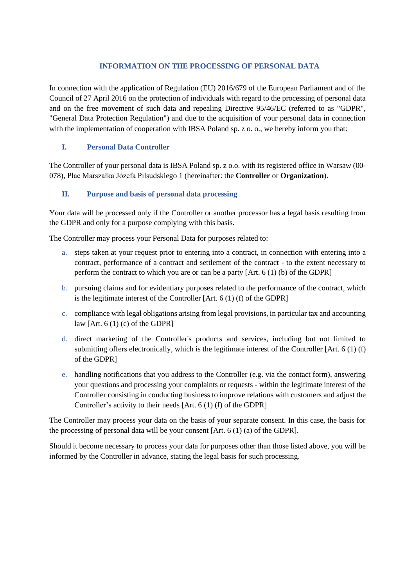### **INFORMATION ON THE PROCESSING OF PERSONAL DATA**

In connection with the application of Regulation (EU) 2016/679 of the European Parliament and of the Council of 27 April 2016 on the protection of individuals with regard to the processing of personal data and on the free movement of such data and repealing Directive 95/46/EC (referred to as "GDPR", "General Data Protection Regulation") and due to the acquisition of your personal data in connection with the implementation of cooperation with IBSA Poland sp. z o. o., we hereby inform you that:

## **I. Personal Data Controller**

The Controller of your personal data is IBSA Poland sp. z o.o. with its registered office in Warsaw (00- 078), Plac Marszałka Józefa Piłsudskiego 1 (hereinafter: the **Controller** or **Organization**).

## **II. Purpose and basis of personal data processing**

Your data will be processed only if the Controller or another processor has a legal basis resulting from the GDPR and only for a purpose complying with this basis.

The Controller may process your Personal Data for purposes related to:

- a. steps taken at your request prior to entering into a contract, in connection with entering into a contract, performance of a contract and settlement of the contract - to the extent necessary to perform the contract to which you are or can be a party [Art. 6 (1) (b) of the GDPR]
- b. pursuing claims and for evidentiary purposes related to the performance of the contract, which is the legitimate interest of the Controller [Art. 6 (1) (f) of the GDPR]
- c. compliance with legal obligations arising from legal provisions, in particular tax and accounting law [Art. 6 (1) (c) of the GDPR]
- d. direct marketing of the Controller's products and services, including but not limited to submitting offers electronically, which is the legitimate interest of the Controller [Art. 6 (1) (f) of the GDPR]
- e. handling notifications that you address to the Controller (e.g. via the contact form), answering your questions and processing your complaints or requests - within the legitimate interest of the Controller consisting in conducting business to improve relations with customers and adjust the Controller's activity to their needs [Art. 6 (1) (f) of the GDPR]

The Controller may process your data on the basis of your separate consent. In this case, the basis for the processing of personal data will be your consent [Art. 6 (1) (a) of the GDPR].

Should it become necessary to process your data for purposes other than those listed above, you will be informed by the Controller in advance, stating the legal basis for such processing.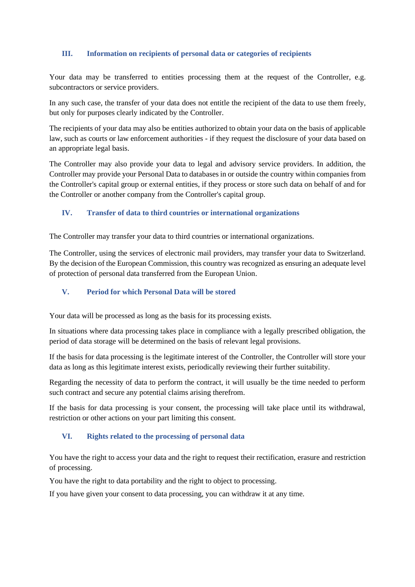### **III. Information on recipients of personal data or categories of recipients**

Your data may be transferred to entities processing them at the request of the Controller, e.g. subcontractors or service providers.

In any such case, the transfer of your data does not entitle the recipient of the data to use them freely, but only for purposes clearly indicated by the Controller.

The recipients of your data may also be entities authorized to obtain your data on the basis of applicable law, such as courts or law enforcement authorities - if they request the disclosure of your data based on an appropriate legal basis.

The Controller may also provide your data to legal and advisory service providers. In addition, the Controller may provide your Personal Data to databases in or outside the country within companies from the Controller's capital group or external entities, if they process or store such data on behalf of and for the Controller or another company from the Controller's capital group.

## **IV. Transfer of data to third countries or international organizations**

The Controller may transfer your data to third countries or international organizations.

The Controller, using the services of electronic mail providers, may transfer your data to Switzerland. By the decision of the European Commission, this country was recognized as ensuring an adequate level of protection of personal data transferred from the European Union.

### **V. Period for which Personal Data will be stored**

Your data will be processed as long as the basis for its processing exists.

In situations where data processing takes place in compliance with a legally prescribed obligation, the period of data storage will be determined on the basis of relevant legal provisions.

If the basis for data processing is the legitimate interest of the Controller, the Controller will store your data as long as this legitimate interest exists, periodically reviewing their further suitability.

Regarding the necessity of data to perform the contract, it will usually be the time needed to perform such contract and secure any potential claims arising therefrom.

If the basis for data processing is your consent, the processing will take place until its withdrawal, restriction or other actions on your part limiting this consent.

#### **VI. Rights related to the processing of personal data**

You have the right to access your data and the right to request their rectification, erasure and restriction of processing.

You have the right to data portability and the right to object to processing.

If you have given your consent to data processing, you can withdraw it at any time.